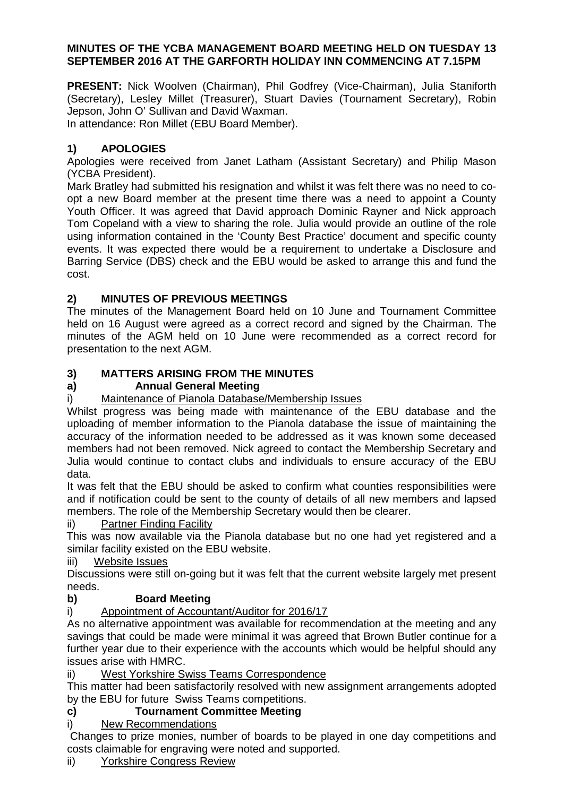#### **MINUTES OF THE YCBA MANAGEMENT BOARD MEETING HELD ON TUESDAY 13 SEPTEMBER 2016 AT THE GARFORTH HOLIDAY INN COMMENCING AT 7.15PM**

**PRESENT:** Nick Woolven (Chairman), Phil Godfrey (Vice-Chairman), Julia Staniforth (Secretary), Lesley Millet (Treasurer), Stuart Davies (Tournament Secretary), Robin Jepson, John O' Sullivan and David Waxman.

In attendance: Ron Millet (EBU Board Member).

# **1) APOLOGIES**

Apologies were received from Janet Latham (Assistant Secretary) and Philip Mason (YCBA President).

Mark Bratley had submitted his resignation and whilst it was felt there was no need to coopt a new Board member at the present time there was a need to appoint a County Youth Officer. It was agreed that David approach Dominic Rayner and Nick approach Tom Copeland with a view to sharing the role. Julia would provide an outline of the role using information contained in the 'County Best Practice' document and specific county events. It was expected there would be a requirement to undertake a Disclosure and Barring Service (DBS) check and the EBU would be asked to arrange this and fund the cost.

# **2) MINUTES OF PREVIOUS MEETINGS**

The minutes of the Management Board held on 10 June and Tournament Committee held on 16 August were agreed as a correct record and signed by the Chairman. The minutes of the AGM held on 10 June were recommended as a correct record for presentation to the next AGM.

# **3) MATTERS ARISING FROM THE MINUTES**

# **a) Annual General Meeting**

# i) Maintenance of Pianola Database/Membership Issues

Whilst progress was being made with maintenance of the EBU database and the uploading of member information to the Pianola database the issue of maintaining the accuracy of the information needed to be addressed as it was known some deceased members had not been removed. Nick agreed to contact the Membership Secretary and Julia would continue to contact clubs and individuals to ensure accuracy of the EBU data.

It was felt that the EBU should be asked to confirm what counties responsibilities were and if notification could be sent to the county of details of all new members and lapsed members. The role of the Membership Secretary would then be clearer.

# ii) Partner Finding Facility

 This was now available via the Pianola database but no one had yet registered and a similar facility existed on the EBU website.

iii) Website Issues

Discussions were still on-going but it was felt that the current website largely met present needs.

# **b) Board Meeting**

# i) Appointment of Accountant/Auditor for 2016/17

As no alternative appointment was available for recommendation at the meeting and any savings that could be made were minimal it was agreed that Brown Butler continue for a further year due to their experience with the accounts which would be helpful should any issues arise with HMRC.

# ii) West Yorkshire Swiss Teams Correspondence

This matter had been satisfactorily resolved with new assignment arrangements adopted by the EBU for future Swiss Teams competitions.

# **c) Tournament Committee Meeting**

# i) New Recommendations

 Changes to prize monies, number of boards to be played in one day competitions and costs claimable for engraving were noted and supported.

#### ii) Yorkshire Congress Review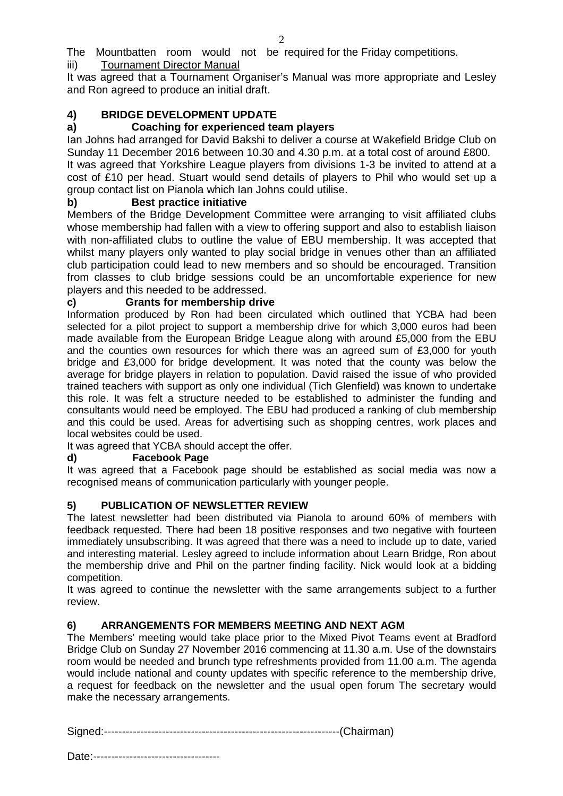The Mountbatten room would not be required for the Friday competitions. iii) Tournament Director Manual

It was agreed that a Tournament Organiser's Manual was more appropriate and Lesley and Ron agreed to produce an initial draft.

# **4) BRIDGE DEVELOPMENT UPDATE**

### **a) Coaching for experienced team players**

Ian Johns had arranged for David Bakshi to deliver a course at Wakefield Bridge Club on Sunday 11 December 2016 between 10.30 and 4.30 p.m. at a total cost of around £800.

It was agreed that Yorkshire League players from divisions 1-3 be invited to attend at a cost of £10 per head. Stuart would send details of players to Phil who would set up a group contact list on Pianola which Ian Johns could utilise.

### **b) Best practice initiative**

Members of the Bridge Development Committee were arranging to visit affiliated clubs whose membership had fallen with a view to offering support and also to establish liaison with non-affiliated clubs to outline the value of EBU membership. It was accepted that whilst many players only wanted to play social bridge in venues other than an affiliated club participation could lead to new members and so should be encouraged. Transition from classes to club bridge sessions could be an uncomfortable experience for new players and this needed to be addressed.

### **c) Grants for membership drive**

Information produced by Ron had been circulated which outlined that YCBA had been selected for a pilot project to support a membership drive for which 3,000 euros had been made available from the European Bridge League along with around £5,000 from the EBU and the counties own resources for which there was an agreed sum of £3,000 for youth bridge and £3,000 for bridge development. It was noted that the county was below the average for bridge players in relation to population. David raised the issue of who provided trained teachers with support as only one individual (Tich Glenfield) was known to undertake this role. It was felt a structure needed to be established to administer the funding and consultants would need be employed. The EBU had produced a ranking of club membership and this could be used. Areas for advertising such as shopping centres, work places and local websites could be used.

It was agreed that YCBA should accept the offer.

# **d) Facebook Page**

It was agreed that a Facebook page should be established as social media was now a recognised means of communication particularly with younger people.

# **5) PUBLICATION OF NEWSLETTER REVIEW**

The latest newsletter had been distributed via Pianola to around 60% of members with feedback requested. There had been 18 positive responses and two negative with fourteen immediately unsubscribing. It was agreed that there was a need to include up to date, varied and interesting material. Lesley agreed to include information about Learn Bridge, Ron about the membership drive and Phil on the partner finding facility. Nick would look at a bidding competition.

It was agreed to continue the newsletter with the same arrangements subject to a further review.

#### **6) ARRANGEMENTS FOR MEMBERS MEETING AND NEXT AGM**

The Members' meeting would take place prior to the Mixed Pivot Teams event at Bradford Bridge Club on Sunday 27 November 2016 commencing at 11.30 a.m. Use of the downstairs room would be needed and brunch type refreshments provided from 11.00 a.m. The agenda would include national and county updates with specific reference to the membership drive, a request for feedback on the newsletter and the usual open forum The secretary would make the necessary arrangements.

| ⌒ |  |
|---|--|
|   |  |

Date:-----------------------------------